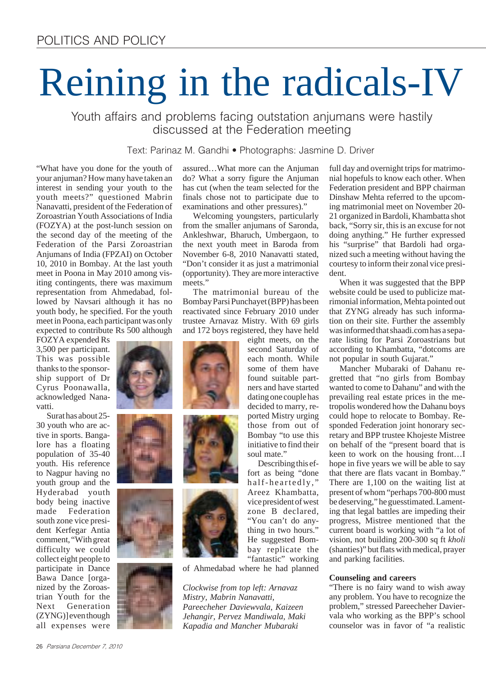# Reining in the radicals-IV

Youth affairs and problems facing outstation anjumans were hastily discussed at the Federation meeting

Text: Parinaz M. Gandhi • Photographs: Jasmine D. Driver

"What have you done for the youth of your anjuman? How many have taken an interest in sending your youth to the youth meets?" questioned Mabrin Nanavatti, president of the Federation of Zoroastrian Youth Associations of India (FOZYA) at the post-lunch session on the second day of the meeting of the Federation of the Parsi Zoroastrian Anjumans of India (FPZAI) on October 10, 2010 in Bombay. At the last youth meet in Poona in May 2010 among visiting contingents, there was maximum representation from Ahmedabad, followed by Navsari although it has no youth body, he specified. For the youth meet in Poona, each participant was only expected to contribute Rs 500 although

FOZYA expended Rs 3,500 per participant. This was possible thanks to the sponsorship support of Dr Cyrus Poonawalla, acknowledged Nanavatti.

Surat has about 25- 30 youth who are active in sports. Bangalore has a floating population of 35-40 youth. His reference to Nagpur having no youth group and the Hyderabad youth body being inactive made Federation south zone vice president Kerfegar Antia comment, "With great difficulty we could collect eight people to participate in Dance Bawa Dance [organized by the Zoroastrian Youth for the Next Generation (ZYNG)] even though all expenses were

assured…What more can the Anjuman do? What a sorry figure the Anjuman has cut (when the team selected for the finals chose not to participate due to examinations and other pressures)."

Welcoming youngsters, particularly from the smaller anjumans of Saronda, Ankleshwar, Bharuch, Umbergaon, to the next youth meet in Baroda from November 6-8, 2010 Nanavatti stated, "Don't consider it as just a matrimonial (opportunity). They are more interactive meets."

The matrimonial bureau of the Bombay Parsi Punchayet (BPP) has been reactivated since February 2010 under trustee Arnavaz Mistry. With 69 girls and 172 boys registered, they have held

eight meets, on the second Saturday of each month. While some of them have found suitable partners and have started dating one couple has decided to marry, reported Mistry urging those from out of Bombay "to use this initiative to find their soul mate."

Describing this effort as being "done half-heartedly," Areez Khambatta, vice president of west zone B declared, "You can't do anything in two hours." He suggested Bombay replicate the "fantastic" working

of Ahmedabad where he had planned

*Clockwise from top left: Arnavaz Mistry, Mabrin Nanavatti, Pareecheher Daviewvala, Kaizeen Jehangir, Pervez Mandiwala, Maki Kapadia and Mancher Mubaraki*

full day and overnight trips for matrimonial hopefuls to know each other. When Federation president and BPP chairman Dinshaw Mehta referred to the upcoming matrimonial meet on November 20- 21 organized in Bardoli, Khambatta shot back, "Sorry sir, this is an excuse for not doing anything." He further expressed his "surprise" that Bardoli had organized such a meeting without having the courtesy to inform their zonal vice president.

When it was suggested that the BPP website could be used to publicize matrimonial information, Mehta pointed out that ZYNG already has such information on their site. Further the assembly was informed that shaadi.com has a separate listing for Parsi Zoroastrians but according to Khambatta, "dotcoms are not popular in south Gujarat."

Mancher Mubaraki of Dahanu regretted that "no girls from Bombay wanted to come to Dahanu" and with the prevailing real estate prices in the metropolis wondered how the Dahanu boys could hope to relocate to Bombay. Responded Federation joint honorary secretary and BPP trustee Khojeste Mistree on behalf of the "present board that is keen to work on the housing front…I hope in five years we will be able to say that there are flats vacant in Bombay." There are 1,100 on the waiting list at present of whom "perhaps 700-800 must be deserving," he guesstimated. Lamenting that legal battles are impeding their progress, Mistree mentioned that the current board is working with "a lot of vision, not building 200-300 sq ft *kholi* (shanties)" but flats with medical, prayer and parking facilities.

#### **Counseling and careers**

"There is no fairy wand to wish away any problem. You have to recognize the problem," stressed Pareecheher Daviervala who working as the BPP's school counselor was in favor of "a realistic





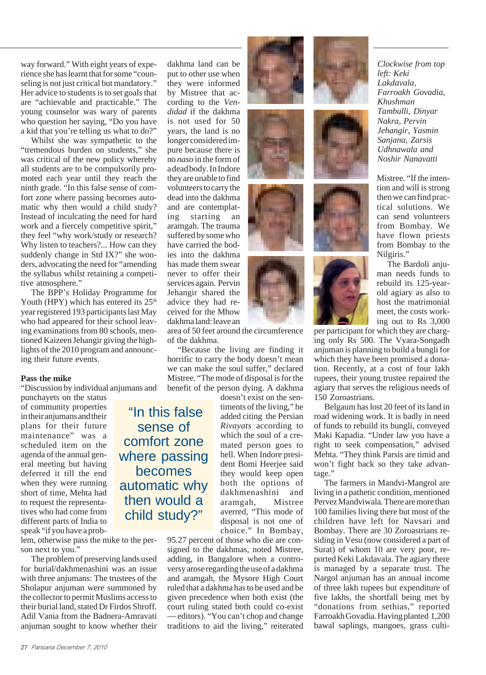way forward." With eight years of experience she has learnt that for some "counseling is not just critical but mandatory." Her advice to students is to set goals that are "achievable and practicable." The young counselor was wary of parents who question her saying, "Do you have a kid that you're telling us what to do?"

Whilst she was sympathetic to the "tremendous burden on students," she was critical of the new policy whereby all students are to be compulsorily promoted each year until they reach the ninth grade. "In this false sense of comfort zone where passing becomes automatic why then would a child study? Instead of inculcating the need for hard work and a fiercely competitive spirit," they feel "why work/study or research? Why listen to teachers?... How can they suddenly change in Std IX?" she wonders, advocating the need for "amending the syllabus whilst retaining a competitive atmosphere."

The BPP's Holiday Programme for Youth (HPY) which has entered its  $25<sup>th</sup>$ year registered 193 participants last May who had appeared for their school leaving examinations from 80 schools, mentioned Kaizeen Jehangir giving the highlights of the 2010 program and announcing their future events.

#### **Pass the mike**

"Discussion by individual anjumans and

sense of

becomes

punchayets on the status of community properties in their anjumans and their plans for their future maintenance" was a scheduled item on the agenda of the annual general meeting but having deferred it till the end when they were running short of time, Mehta had to request the representatives who had come from different parts of India to speak "if you have a prob-

lem, otherwise pass the mike to the person next to you."

The problem of preserving lands used for burial/dakhmenashini was an issue with three anjumans: The trustees of the Sholapur anjuman were summoned by the collector to permit Muslims access to their burial land, stated Dr Firdos Shroff. Adil Vania from the Badnera-Amravati anjuman sought to know whether their

dakhma land can be put to other use when they were informed by Mistree that according to the *Vendidad* if the dakhma is not used for 50 years, the land is no longer considered impure because there is no *naso* in the form of a dead body. In Indore they are unable to find volunteers to carry the dead into the dakhma and are contemplating starting an aramgah. The trauma suffered by some who have carried the bodies into the dakhma has made them swear never to offer their services again. Pervin Jehangir shared the advice they had received for the Mhow dakhma land: leave an









area of 50 feet around the circumference of the dakhma.

"Because the living are finding it horrific to carry the body doesn't mean we can make the soul suffer," declared Mistree. "The mode of disposal is for the benefit of the person dying. A dakhma

doesn't exist on the sentiments of the living," he added citing the Persian *Rivayats* according to which the soul of a cremated person goes to hell. When Indore president Bomi Heerjee said they would keep open both the options of dakhmenashini and aramgah, Mistree averred, "This mode of disposal is not one of choice." In Bombay, "In this false comfort zone where passing automatic why then would a child study?"

95.27 percent of those who die are consigned to the dakhmas, noted Mistree, adding, in Bangalore when a controversy arose regarding the use of a dakhma and aramgah, the Mysore High Court ruled that a dakhma has to be used and be given precedence when both exist (the court ruling stated both could co-exist — editors). "You can't chop and change traditions to aid the living," reiterated









*Clockwise from top left: Keki Lakdavala, Farroakh Govadia, Khushman Tambulli, Dinyar Nakra, Pervin Jehangir, Yasmin Sanjana, Zarsis Udhnawala and Noshir Nanavatti*

Mistree. "If the intention and will is strong then we can find practical solutions. We can send volunteers from Bombay. We have flown priests from Bombay to the Nilgiris."

The Bardoli anjuman needs funds to rebuild its 125-yearold agiary as also to host the matrimonial meet, the costs working out to Rs 3,000

per participant for which they are charging only Rs 500. The Vyara-Songadh anjuman is planning to build a bungli for which they have been promised a donation. Recently, at a cost of four lakh rupees, their young trustee repaired the agiary that serves the religious needs of 150 Zoroastrians.

Belgaum has lost 20 feet of its land in road widening work. It is badly in need of funds to rebuild its bungli, conveyed Maki Kapadia. "Under law you have a right to seek compensation," advised Mehta. "They think Parsis are timid and won't fight back so they take advantage."

The farmers in Mandvi-Mangrol are living in a pathetic condition, mentioned Pervez Mandviwala. There are more than 100 families living there but most of the children have left for Navsari and Bombay. There are 30 Zoroastrians residing in Vesu (now considered a part of Surat) of whom 10 are very poor, reported Keki Lakdavala. The agiary there is managed by a separate trust. The Nargol anjuman has an annual income of three lakh rupees but expenditure of five lakhs, the shortfall being met by "donations from sethias," reported Farroakh Govadia. Having planted 1,200 bawal saplings, mangoes, grass culti